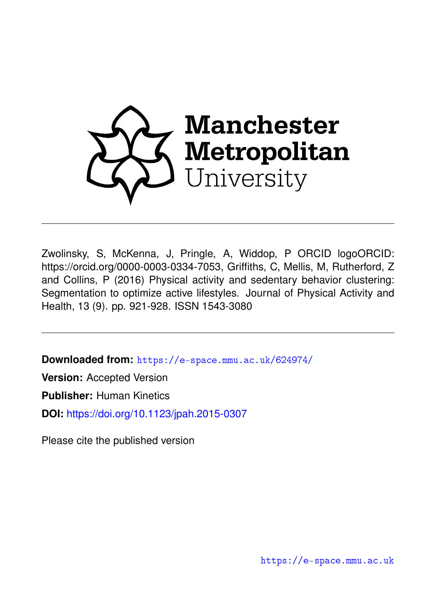

Zwolinsky, S, McKenna, J, Pringle, A, Widdop, P ORCID logoORCID: https://orcid.org/0000-0003-0334-7053, Griffiths, C, Mellis, M, Rutherford, Z and Collins, P (2016) Physical activity and sedentary behavior clustering: Segmentation to optimize active lifestyles. Journal of Physical Activity and Health, 13 (9). pp. 921-928. ISSN 1543-3080

**Downloaded from:** <https://e-space.mmu.ac.uk/624974/>

**Version:** Accepted Version

**Publisher:** Human Kinetics

**DOI:** <https://doi.org/10.1123/jpah.2015-0307>

Please cite the published version

<https://e-space.mmu.ac.uk>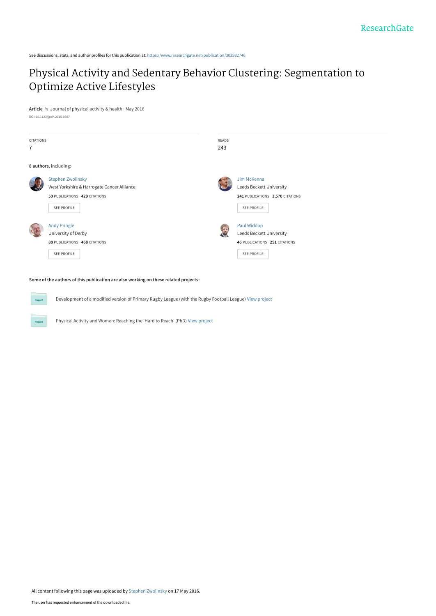See discussions, stats, and author profiles for this publication at: [https://www.researchgate.net/publication/302982746](https://www.researchgate.net/publication/302982746_Physical_Activity_and_Sedentary_Behavior_Clustering_Segmentation_to_Optimize_Active_Lifestyles?enrichId=rgreq-ba17087e6b4a18a7125e38d49941ef4e-XXX&enrichSource=Y292ZXJQYWdlOzMwMjk4Mjc0NjtBUzozNjI2NjYwMjg3NDg4MDFAMTQ2MzQ3NzcyNzg1OQ%3D%3D&el=1_x_2&_esc=publicationCoverPdf)

# [Physical Activity and Sedentary Behavior Clustering: Segmentation to](https://www.researchgate.net/publication/302982746_Physical_Activity_and_Sedentary_Behavior_Clustering_Segmentation_to_Optimize_Active_Lifestyles?enrichId=rgreq-ba17087e6b4a18a7125e38d49941ef4e-XXX&enrichSource=Y292ZXJQYWdlOzMwMjk4Mjc0NjtBUzozNjI2NjYwMjg3NDg4MDFAMTQ2MzQ3NzcyNzg1OQ%3D%3D&el=1_x_3&_esc=publicationCoverPdf) Optimize Active Lifestyles

**Article** in Journal of physical activity & health · May 2016 DOI: 10.1123/jpah.2015-0307

| <b>CITATIONS</b> |                                            | <b>READS</b> |                                  |  |  |  |
|------------------|--------------------------------------------|--------------|----------------------------------|--|--|--|
| $\overline{7}$   |                                            | 243          |                                  |  |  |  |
|                  | 8 authors, including:                      |              |                                  |  |  |  |
|                  | <b>Stephen Zwolinsky</b>                   |              | Jim McKenna                      |  |  |  |
|                  | West Yorkshire & Harrogate Cancer Alliance |              | Leeds Beckett University         |  |  |  |
|                  | 50 PUBLICATIONS 429 CITATIONS              |              | 241 PUBLICATIONS 3,570 CITATIONS |  |  |  |
|                  | <b>SEE PROFILE</b>                         |              | SEE PROFILE                      |  |  |  |
|                  | <b>Andy Pringle</b>                        | G            | Paul Widdop                      |  |  |  |
|                  | University of Derby                        |              | Leeds Beckett University         |  |  |  |
|                  | 88 PUBLICATIONS 468 CITATIONS              |              | 46 PUBLICATIONS 251 CITATIONS    |  |  |  |
|                  | <b>SEE PROFILE</b>                         |              | SEE PROFILE                      |  |  |  |
|                  |                                            |              |                                  |  |  |  |

#### **Some of the authors of this publication are also working on these related projects:**

**Project** 

Development of a modified version of Primary Rugby League (with the Rugby Football League) [View project](https://www.researchgate.net/project/Development-of-a-modified-version-of-Primary-Rugby-League-with-the-Rugby-Football-League?enrichId=rgreq-ba17087e6b4a18a7125e38d49941ef4e-XXX&enrichSource=Y292ZXJQYWdlOzMwMjk4Mjc0NjtBUzozNjI2NjYwMjg3NDg4MDFAMTQ2MzQ3NzcyNzg1OQ%3D%3D&el=1_x_9&_esc=publicationCoverPdf)

Physical Activity and Women: Reaching the 'Hard to Reach' (PhD) [View project](https://www.researchgate.net/project/Physical-Activity-and-Women-Reaching-the-Hard-to-Reach-PhD?enrichId=rgreq-ba17087e6b4a18a7125e38d49941ef4e-XXX&enrichSource=Y292ZXJQYWdlOzMwMjk4Mjc0NjtBUzozNjI2NjYwMjg3NDg4MDFAMTQ2MzQ3NzcyNzg1OQ%3D%3D&el=1_x_9&_esc=publicationCoverPdf)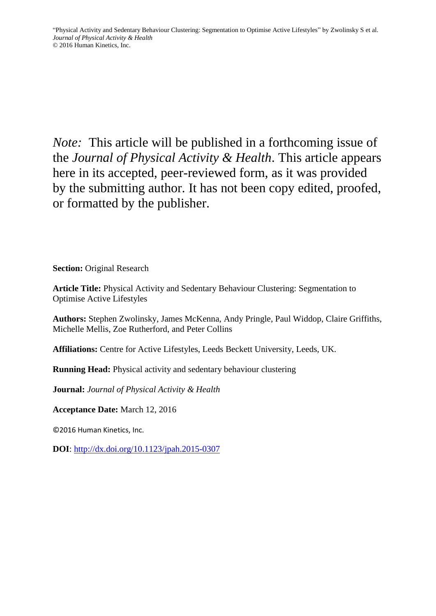*Note:* This article will be published in a forthcoming issue of the *Journal of Physical Activity & Health*. This article appears here in its accepted, peer-reviewed form, as it was provided by the submitting author. It has not been copy edited, proofed, or formatted by the publisher.

**Section:** Original Research

**Article Title:** Physical Activity and Sedentary Behaviour Clustering: Segmentation to Optimise Active Lifestyles

**Authors:** Stephen Zwolinsky, James McKenna, Andy Pringle, Paul Widdop, Claire Griffiths, Michelle Mellis, Zoe Rutherford, and Peter Collins

**Affiliations:** Centre for Active Lifestyles, Leeds Beckett University, Leeds, UK.

**Running Head:** Physical activity and sedentary behaviour clustering

**Journal:** *Journal of Physical Activity & Health*

**Acceptance Date:** March 12, 2016

©2016 Human Kinetics, Inc.

**DOI**:<http://dx.doi.org/10.1123/jpah.2015-0307>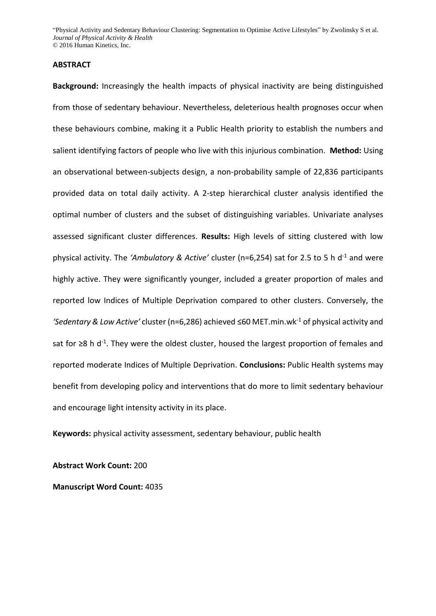#### **ABSTRACT**

**Background:** Increasingly the health impacts of physical inactivity are being distinguished from those of sedentary behaviour. Nevertheless, deleterious health prognoses occur when these behaviours combine, making it a Public Health priority to establish the numbers and salient identifying factors of people who live with this injurious combination. **Method:** Using an observational between-subjects design, a non-probability sample of 22,836 participants provided data on total daily activity. A 2-step hierarchical cluster analysis identified the optimal number of clusters and the subset of distinguishing variables. Univariate analyses assessed significant cluster differences. **Results:** High levels of sitting clustered with low physical activity. The *'Ambulatory & Active'* cluster (n=6,254) sat for 2.5 to 5 h d<sup>-1</sup> and were highly active. They were significantly younger, included a greater proportion of males and reported low Indices of Multiple Deprivation compared to other clusters. Conversely, the *'Sedentary & Low Active'* cluster (n=6,286) achieved ≤60 MET.min.wk-1 of physical activity and sat for ≥8 h d<sup>-1</sup>. They were the oldest cluster, housed the largest proportion of females and reported moderate Indices of Multiple Deprivation. **Conclusions:** Public Health systems may benefit from developing policy and interventions that do more to limit sedentary behaviour and encourage light intensity activity in its place.

**Keywords:** physical activity assessment, sedentary behaviour, public health

**Abstract Work Count:** 200

**Manuscript Word Count:** 4035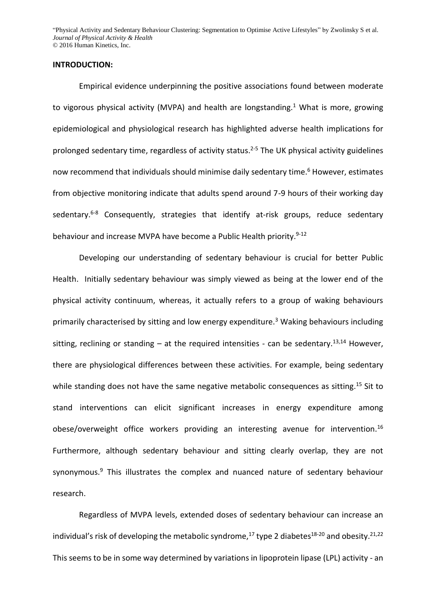#### **INTRODUCTION:**

Empirical evidence underpinning the positive associations found between moderate to vigorous physical activity (MVPA) and health are longstanding.<sup>[1](#page-18-0)</sup> What is more, growing epidemiological and physiological research has highlighted adverse health implications for prolonged sedentary time, regardless of activity status. [2-5](#page-18-1) The UK physical activity guidelines now recommend that individuals should minimise daily sedentary time[.](#page-18-2) <sup>6</sup> However, estimates from objective monitoring indicate that adults spend around 7-9 hours of their working day sedentary.<sup>[6-8](#page-18-2)</sup> Consequently, strategies that identify at-risk groups, reduce sedentary behaviour and increase MVPA have become a Public Health priority.<sup>[9-12](#page-18-3)</sup>

Developing our understanding of sedentary behaviour is crucial for better Public Health. Initially sedentary behaviour was simply viewed as being at the lower end of the physical activity continuum, whereas, it actually refers to a group of waking behaviours primarily characterised by sitting and low energy expenditure.[3](#page-18-4) Waking behaviours including sitting, reclining or standing  $-$  at the required intensities - can be sedentary.<sup>[13,](#page-18-5)[14](#page-18-6)</sup> However, there are physiological differences between these activities. For example, being sedentary while standing does not have the same negative metabolic consequences as sitting.<sup>[15](#page-18-7)</sup> Sit to stand interventions can elicit significant increases in energy expenditure among obese/overweight office workers providing an interesting avenue for intervention.<sup>[16](#page-18-8)</sup> Furthermore, although sedentary behaviour and sitting clearly overlap, they are not synonymous.<sup>[9](#page-18-3)</sup> This illustrates the complex and nuanced nature of sedentary behaviour research.

Regardless of MVPA levels, extended doses of sedentary behaviour can increase an individual's risk of developing the metabolic syndrome,<sup>[17](#page-19-0)</sup> type 2 diabetes<sup>[18-20](#page-19-1)</sup> and obesity.<sup>[21](#page-19-2)[,22](#page-19-3)</sup> This seems to be in some way determined by variations in lipoprotein lipase (LPL) activity - an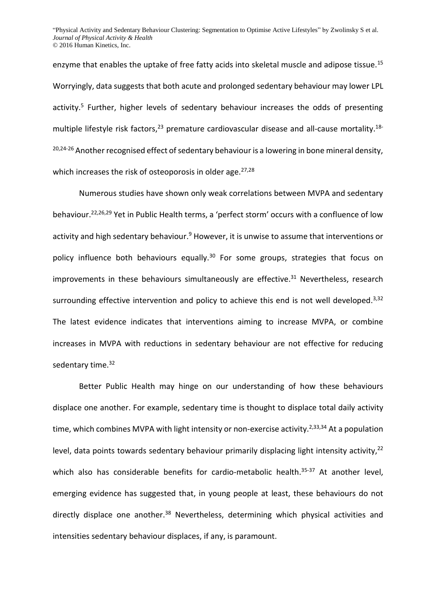enzyme that enables the uptake of free fatty acids into skeletal muscle and adipose tissue.<sup>[15](#page-18-7)</sup> Worryingly, data suggests that both acute and prolonged sedentary behaviour may lower LPL activity.<sup>[5](#page-18-9)</sup> Further, higher levels of sedentary behaviour increases the odds of presenting multiple lifestyle risk factors,  $23$  premature cardiovascular disease and all-cause mortality.  $18$ - $20,24-26$  $20,24-26$  Another recognised effect of sedentary behaviour is a lowering in bone mineral density, which increases the risk of osteoporosis in older age. $27,28$  $27,28$ 

Numerous studies have shown only weak correlations between MVPA and sedentary behaviour.[22,](#page-19-3)[26,](#page-19-8)[29](#page-19-9) Yet in Public Health terms, a 'perfect storm' occurs with a confluence of low activity and high sedentary behaviour[.](#page-18-3)<sup>9</sup> However, it is unwise to assume that interventions or policy influence both behaviours equally.<sup>[30](#page-19-10)</sup> For some groups, strategies that focus on improvements in these behaviours simultaneously are effective.<sup>[31](#page-19-11)</sup> Nevertheless, research surrounding effective intervention and policy to achieve this end is not well developed.<sup>[3](#page-18-4)[,32](#page-19-12)</sup> The latest evidence indicates that interventions aiming to increase MVPA, or combine increases in MVPA with reductions in sedentary behaviour are not effective for reducing sedentary time.<sup>[32](#page-19-12)</sup>

Better Public Health may hinge on our understanding of how these behaviours displace one another. For example, sedentary time is thought to displace total daily activity time, which combines MVPA with light intensity or non-exercise activity.<sup>[2](#page-18-1)[,33](#page-20-0)[,34](#page-20-1)</sup> At a population level, data points towards sedentary behaviour primarily displacing light intensity activity,<sup>[22](#page-19-3)</sup> which also has considerable benefits for cardio-metabolic health.<sup>[35-37](#page-20-2)</sup> At another level, emerging evidence has suggested that, in young people at least, these behaviours do not directly displace one another.<sup>[38](#page-20-3)</sup> Nevertheless, determining which physical activities and intensities sedentary behaviour displaces, if any, is paramount.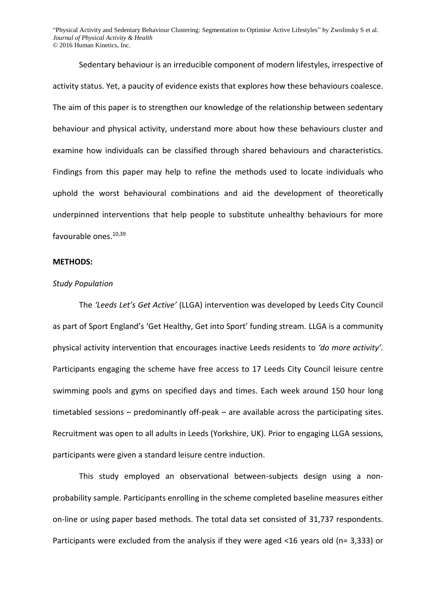Sedentary behaviour is an irreducible component of modern lifestyles, irrespective of activity status. Yet, a paucity of evidence exists that explores how these behaviours coalesce. The aim of this paper is to strengthen our knowledge of the relationship between sedentary behaviour and physical activity, understand more about how these behaviours cluster and examine how individuals can be classified through shared behaviours and characteristics. Findings from this paper may help to refine the methods used to locate individuals who uphold the worst behavioural combinations and aid the development of theoretically underpinned interventions that help people to substitute unhealthy behaviours for more favourable ones.[10,](#page-18-10)[39](#page-20-4)

#### **METHODS:**

#### *Study Population*

The *'Leeds Let's Get Active'* (LLGA) intervention was developed by Leeds City Council as part of Sport England's 'Get Healthy, Get into Sport' funding stream. LLGA is a community physical activity intervention that encourages inactive Leeds residents to *'do more activity'.* Participants engaging the scheme have free access to 17 Leeds City Council leisure centre swimming pools and gyms on specified days and times. Each week around 150 hour long timetabled sessions – predominantly off-peak – are available across the participating sites. Recruitment was open to all adults in Leeds (Yorkshire, UK). Prior to engaging LLGA sessions, participants were given a standard leisure centre induction.

This study employed an observational between-subjects design using a nonprobability sample. Participants enrolling in the scheme completed baseline measures either on-line or using paper based methods. The total data set consisted of 31,737 respondents. Participants were excluded from the analysis if they were aged <16 years old (n= 3,333) or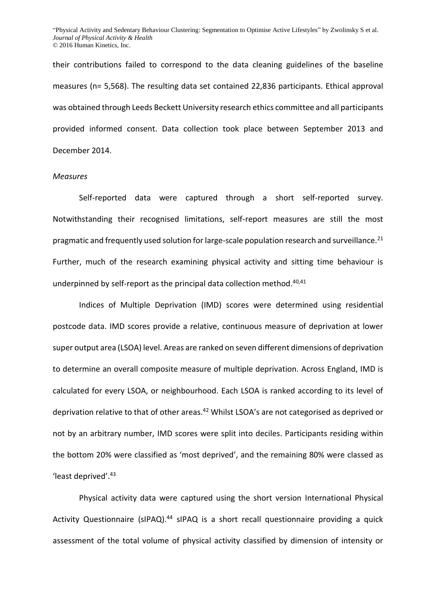their contributions failed to correspond to the data cleaning guidelines of the baseline measures (n= 5,568). The resulting data set contained 22,836 participants. Ethical approval was obtained through Leeds Beckett University research ethics committee and all participants provided informed consent. Data collection took place between September 2013 and December 2014.

#### *Measures*

Self-reported data were captured through a short self-reported survey. Notwithstanding their recognised limitations, self-report measures are still the most pragmatic and frequently used solution for large-scale population research and surveillance.<sup>[21](#page-19-2)</sup> Further, much of the research examining physical activity and sitting time behaviour is underpinned by self-report as the principal data collection method.<sup>[40](#page-20-5)[,41](#page-20-6)</sup>

Indices of Multiple Deprivation (IMD) scores were determined using residential postcode data. IMD scores provide a relative, continuous measure of deprivation at lower super output area (LSOA) level. Areas are ranked on seven different dimensions of deprivation to determine an overall composite measure of multiple deprivation. Across England, IMD is calculated for every LSOA, or neighbourhood. Each LSOA is ranked according to its level of deprivation relative to that of other areas.<sup>[42](#page-20-7)</sup> Whilst LSOA's are not categorised as deprived or not by an arbitrary number, IMD scores were split into deciles. Participants residing within the bottom 20% were classified as 'most deprived', and the remaining 80% were classed as 'least deprived'. [43](#page-20-8)

Physical activity data were captured using the short version International Physical Activity Questionnaire (sIPAQ).<sup>[44](#page-20-9)</sup> sIPAQ is a short recall questionnaire providing a quick assessment of the total volume of physical activity classified by dimension of intensity or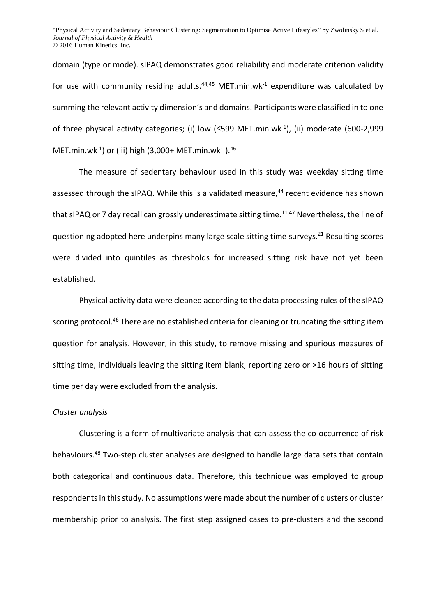domain (type or mode). sIPAQ demonstrates good reliability and moderate criterion validity for use with community residing adults. $44,45$  $44,45$  MET.min.wk<sup>-1</sup> expenditure was calculated by summing the relevant activity dimension's and domains. Participants were classified in to one of three physical activity categories; (i) low  $(\leq 599 \text{ MET.min}.\text{wk}^{-1})$ , (ii) moderate (600-2,999 MET.min.wk-1 ) or (iii) high (3,000+ MET.min.wk-1 ).[46](#page-20-11)

The measure of sedentary behaviour used in this study was weekday sitting time assessed through the sIPAQ. While this is a validated measure,<sup>[44](#page-20-9)</sup> recent evidence has shown that sIPAQ or 7 day recall can grossly underestimate sitting time.<sup>[11,](#page-18-11)[47](#page-20-12)</sup> Nevertheless, the line of questioning adopted here underpins many large scale sitting time surveys.<sup>[21](#page-19-2)</sup> Resulting scores were divided into quintiles as thresholds for increased sitting risk have not yet been established.

Physical activity data were cleaned according to the data processing rules of the sIPAQ scoring protocol.<sup>[46](#page-20-11)</sup> There are no established criteria for cleaning or truncating the sitting item question for analysis. However, in this study, to remove missing and spurious measures of sitting time, individuals leaving the sitting item blank, reporting zero or >16 hours of sitting time per day were excluded from the analysis.

### *Cluster analysis*

Clustering is a form of multivariate analysis that can assess the co-occurrence of risk behaviours.<sup>[48](#page-20-13)</sup> Two-step cluster analyses are designed to handle large data sets that contain both categorical and continuous data. Therefore, this technique was employed to group respondents in this study. No assumptions were made about the number of clusters or cluster membership prior to analysis. The first step assigned cases to pre-clusters and the second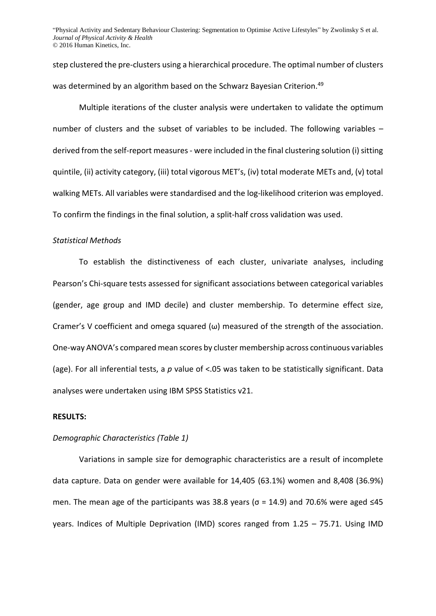step clustered the pre-clusters using a hierarchical procedure. The optimal number of clusters was determined by an algorithm based on the Schwarz Bayesian Criterion. [49](#page-20-14)

Multiple iterations of the cluster analysis were undertaken to validate the optimum number of clusters and the subset of variables to be included. The following variables – derived from the self-report measures - were included in the final clustering solution (i) sitting quintile, (ii) activity category, (iii) total vigorous MET's, (iv) total moderate METs and, (v) total walking METs. All variables were standardised and the log-likelihood criterion was employed. To confirm the findings in the final solution, a split-half cross validation was used.

#### *Statistical Methods*

To establish the distinctiveness of each cluster, univariate analyses, including Pearson's Chi-square tests assessed for significant associations between categorical variables (gender, age group and IMD decile) and cluster membership. To determine effect size, Cramer's V coefficient and omega squared  $(\omega)$  measured of the strength of the association. One-way ANOVA's compared mean scores by cluster membership across continuous variables (age). For all inferential tests, a *p* value of <.05 was taken to be statistically significant. Data analyses were undertaken using IBM SPSS Statistics v21.

## **RESULTS:**

## *Demographic Characteristics (Table 1)*

Variations in sample size for demographic characteristics are a result of incomplete data capture. Data on gender were available for 14,405 (63.1%) women and 8,408 (36.9%) men. The mean age of the participants was 38.8 years ( $\sigma$  = 14.9) and 70.6% were aged ≤45 years. Indices of Multiple Deprivation (IMD) scores ranged from 1.25 – 75.71. Using IMD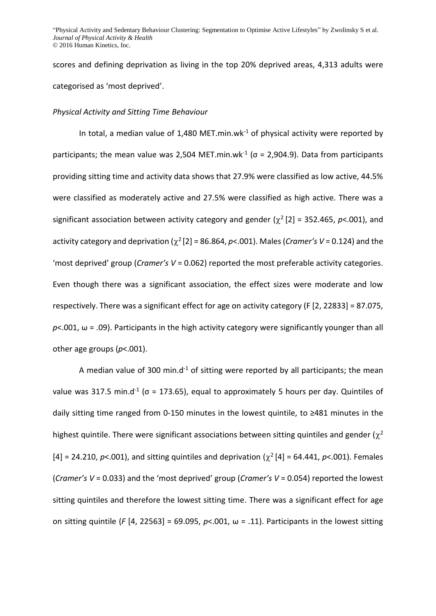scores and defining deprivation as living in the top 20% deprived areas, 4,313 adults were categorised as 'most deprived'.

#### *Physical Activity and Sitting Time Behaviour*

In total, a median value of 1,480 MET.min.wk $1$  of physical activity were reported by participants; the mean value was 2,504 MET.min.wk<sup>-1</sup> ( $\sigma$  = 2,904.9). Data from participants providing sitting time and activity data shows that 27.9% were classified as low active, 44.5% were classified as moderately active and 27.5% were classified as high active. There was a significant association between activity category and gender  $(\chi^2[2] = 352.465, p<.001)$ , and activity category and deprivation  $(\chi^2[2] = 86.864, p<.001)$ . Males (*Cramer's V* = 0.124) and the 'most deprived' group (*Cramer's V* = 0.062) reported the most preferable activity categories. Even though there was a significant association, the effect sizes were moderate and low respectively. There was a significant effect for age on activity category (F [2, 22833] = 87.075,  $p$ <.001,  $\omega$  = .09). Participants in the high activity category were significantly younger than all other age groups (*p*<.001).

A median value of 300 min.d<sup>-1</sup> of sitting were reported by all participants; the mean value was 317.5 min.d<sup>-1</sup> ( $\sigma$  = 173.65), equal to approximately 5 hours per day. Quintiles of daily sitting time ranged from 0-150 minutes in the lowest quintile, to ≥481 minutes in the highest quintile. There were significant associations between sitting quintiles and gender ( $\chi^2$  $[4] = 24.210$ ,  $p < .001$ ), and sitting quintiles and deprivation  $(\chi^2[4] = 64.441, p < .001)$ . Females (*Cramer's V* = 0.033) and the 'most deprived' group (*Cramer's V* = 0.054) reported the lowest sitting quintiles and therefore the lowest sitting time. There was a significant effect for age on sitting quintile (*F* [4, 22563] = 69.095, *p*<.001, ω = .11). Participants in the lowest sitting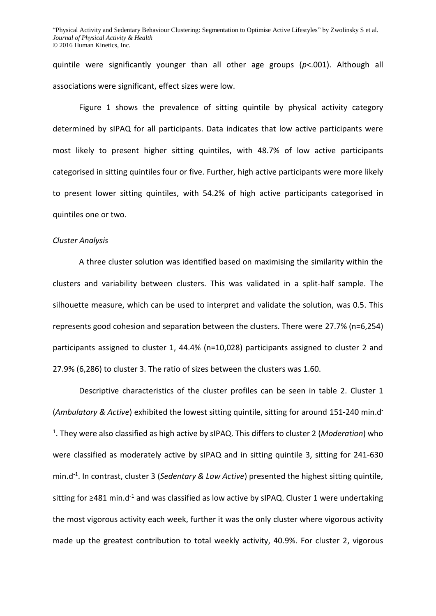quintile were significantly younger than all other age groups (*p*<.001). Although all associations were significant, effect sizes were low.

Figure 1 shows the prevalence of sitting quintile by physical activity category determined by sIPAQ for all participants. Data indicates that low active participants were most likely to present higher sitting quintiles, with 48.7% of low active participants categorised in sitting quintiles four or five. Further, high active participants were more likely to present lower sitting quintiles, with 54.2% of high active participants categorised in quintiles one or two.

#### *Cluster Analysis*

A three cluster solution was identified based on maximising the similarity within the clusters and variability between clusters. This was validated in a split-half sample. The silhouette measure, which can be used to interpret and validate the solution, was 0.5. This represents good cohesion and separation between the clusters. There were 27.7% (n=6,254) participants assigned to cluster 1, 44.4% (n=10,028) participants assigned to cluster 2 and 27.9% (6,286) to cluster 3. The ratio of sizes between the clusters was 1.60.

Descriptive characteristics of the cluster profiles can be seen in table 2. Cluster 1 (*Ambulatory & Active*) exhibited the lowest sitting quintile, sitting for around 151-240 min.d-1 . They were also classified as high active by sIPAQ. This differs to cluster 2 (*Moderation*) who were classified as moderately active by sIPAQ and in sitting quintile 3, sitting for 241-630 min.d-1 . In contrast, cluster 3 (*Sedentary & Low Active*) presented the highest sitting quintile, sitting for ≥481 min.d<sup>-1</sup> and was classified as low active by sIPAQ. Cluster 1 were undertaking the most vigorous activity each week, further it was the only cluster where vigorous activity made up the greatest contribution to total weekly activity, 40.9%. For cluster 2, vigorous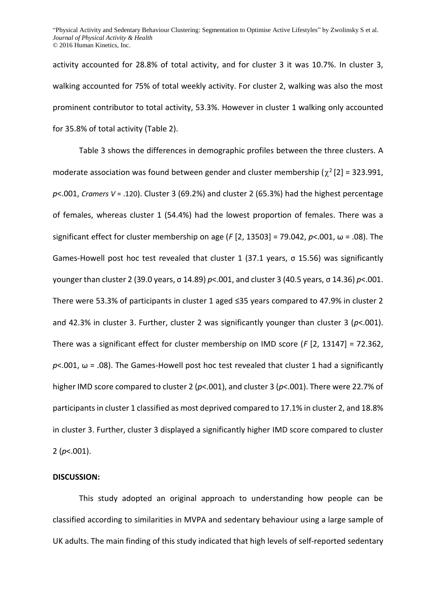activity accounted for 28.8% of total activity, and for cluster 3 it was 10.7%. In cluster 3, walking accounted for 75% of total weekly activity. For cluster 2, walking was also the most prominent contributor to total activity, 53.3%. However in cluster 1 walking only accounted for 35.8% of total activity (Table 2).

Table 3 shows the differences in demographic profiles between the three clusters. A moderate association was found between gender and cluster membership ( $\chi^2$  [2] = 323.991, *p*<.001, *Cramers V* = .120). Cluster 3 (69.2%) and cluster 2 (65.3%) had the highest percentage of females, whereas cluster 1 (54.4%) had the lowest proportion of females. There was a significant effect for cluster membership on age (*F* [2, 13503] = 79.042, *p*<.001, ω = .08). The Games-Howell post hoc test revealed that cluster 1 (37.1 years, σ 15.56) was significantly younger than cluster 2 (39.0 years, σ 14.89) *p*<.001, and cluster 3 (40.5 years, σ 14.36) *p*<.001. There were 53.3% of participants in cluster 1 aged ≤35 years compared to 47.9% in cluster 2 and 42.3% in cluster 3. Further, cluster 2 was significantly younger than cluster 3 (*p*<.001). There was a significant effect for cluster membership on IMD score (*F* [2, 13147] = 72.362,  $p$ <.001,  $\omega$  = .08). The Games-Howell post hoc test revealed that cluster 1 had a significantly higher IMD score compared to cluster 2 (*p*<.001), and cluster 3 (*p*<.001). There were 22.7% of participants in cluster 1 classified as most deprived compared to 17.1% in cluster 2, and 18.8% in cluster 3. Further, cluster 3 displayed a significantly higher IMD score compared to cluster 2 (*p*<.001).

# **DISCUSSION:**

This study adopted an original approach to understanding how people can be classified according to similarities in MVPA and sedentary behaviour using a large sample of UK adults. The main finding of this study indicated that high levels of self-reported sedentary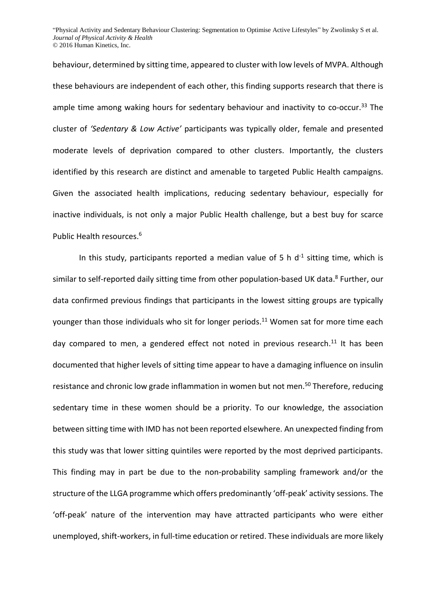behaviour, determined by sitting time, appeared to cluster with low levels of MVPA. Although these behaviours are independent of each other, this finding supports research that there is ample time among waking hours for sedentary behaviour and inactivity to co-occur.<sup>[33](#page-20-0)</sup> The cluster of *'Sedentary & Low Active'* participants was typically older, female and presented moderate levels of deprivation compared to other clusters. Importantly, the clusters identified by this research are distinct and amenable to targeted Public Health campaigns. Given the associated health implications, reducing sedentary behaviour, especially for inactive individuals, is not only a major Public Health challenge, but a best buy for scarce Public Health resources. [6](#page-18-2)

In this study, participants reported a median value of 5 h  $d^{-1}$  sitting time, which is similar to self-reported daily sitting time from other population-based UK data. [8](#page-18-12) Further, our data confirmed previous findings that participants in the lowest sitting groups are typically younger than those individuals who sit for longer periods. [11](#page-18-11) Women sat for more time each day compared to men, a gendered effect not noted in previous research.<sup>[11](#page-18-11)</sup> It has been documented that higher levels of sitting time appear to have a damaging influence on insulin resistance and chronic low grade inflammation in women but not men.<sup>[50](#page-21-0)</sup> Therefore, reducing sedentary time in these women should be a priority. To our knowledge, the association between sitting time with IMD has not been reported elsewhere. An unexpected finding from this study was that lower sitting quintiles were reported by the most deprived participants. This finding may in part be due to the non-probability sampling framework and/or the structure of the LLGA programme which offers predominantly 'off-peak' activity sessions. The 'off-peak' nature of the intervention may have attracted participants who were either unemployed, shift-workers, in full-time education or retired. These individuals are more likely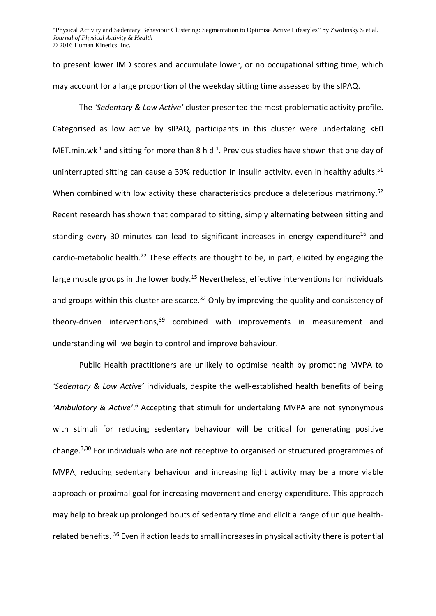to present lower IMD scores and accumulate lower, or no occupational sitting time, which may account for a large proportion of the weekday sitting time assessed by the sIPAQ.

The *'Sedentary & Low Active'* cluster presented the most problematic activity profile. Categorised as low active by sIPAQ, participants in this cluster were undertaking <60 MET. min. wk<sup>-1</sup> and sitting for more than 8 h d<sup>-1</sup>. Previous studies have shown that one day of uninterrupted sitting can cause a 39% reduction in insulin activity, even in healthy adults.<sup>[51](#page-21-1)</sup> When combined with low activity these characteristics produce a deleterious matrimony.<sup>[52](#page-21-2)</sup> Recent research has shown that compared to sitting, simply alternating between sitting and standing every 30 minutes can lead to significant increases in energy expenditure<sup>[16](#page-18-8)</sup> and cardio-metabolic health.<sup>[22](#page-19-3)</sup> These effects are thought to be, in part, elicited by engaging the large muscle groups in the lower body.<sup>[15](#page-18-7)</sup> Nevertheless, effective interventions for individuals and groups within this cluster are scarce.<sup>[32](#page-19-12)</sup> Only by improving the quality and consistency of theory-driven interventions, $39$  combined with improvements in measurement and understanding will we begin to control and improve behaviour.

Public Health practitioners are unlikely to optimise health by promoting MVPA to *'Sedentary & Low Active'* individuals, despite the well-established health benefits of being 'Ambulatory & Active'.<sup>[6](#page-18-2)</sup> Accepting that stimuli for undertaking MVPA are not synonymous with stimuli for reducing sedentary behaviour will be critical for generating positive change. [3](#page-18-4)[,30](#page-19-10) For individuals who are not receptive to organised or structured programmes of MVPA, reducing sedentary behaviour and increasing light activity may be a more viable approach or proximal goal for increasing movement and energy expenditure. This approach may help to break up prolonged bouts of sedentary time and elicit a range of unique healthrelated benefits. [36](#page-20-15) Even if action leads to small increases in physical activity there is potential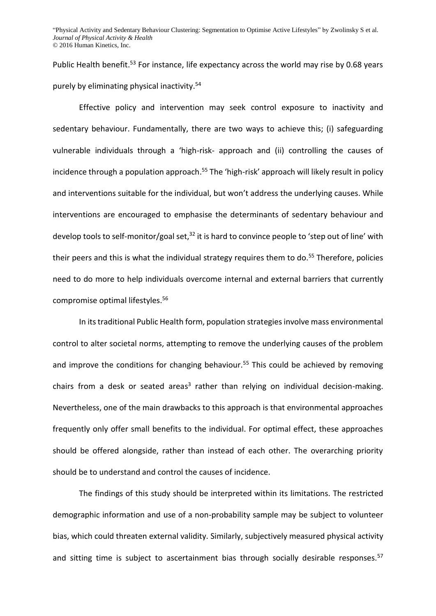Public Health benefit.<sup>[53](#page-21-3)</sup> For instance, life expectancy across the world may rise by 0.68 years purely by eliminating physical inactivity.[54](#page-21-4)

Effective policy and intervention may seek control exposure to inactivity and sedentary behaviour. Fundamentally, there are two ways to achieve this; (i) safeguarding vulnerable individuals through a 'high-risk- approach and (ii) controlling the causes of incidence through a population approach.<sup>[55](#page-21-5)</sup> The 'high-risk' approach will likely result in policy and interventions suitable for the individual, but won't address the underlying causes. While interventions are encouraged to emphasise the determinants of sedentary behaviour and develop tools to self-monitor/goal set,<sup>[32](#page-19-12)</sup> it is hard to convince people to 'step out of line' with their peers and this is what the individual strategy requires them to do.<sup>[55](#page-21-5)</sup> Therefore, policies need to do more to help individuals overcome internal and external barriers that currently compromise optimal lifestyles.[56](#page-21-6)

In its traditional Public Health form, population strategies involve mass environmental control to alter societal norms, attempting to remove the underlying causes of the problem and improve the conditions for changing behaviour.<sup>[55](#page-21-5)</sup> This could be achieved by removing chair[s](#page-18-4) from a desk or seated areas<sup>3</sup> rather than relying on individual decision-making. Nevertheless, one of the main drawbacks to this approach is that environmental approaches frequently only offer small benefits to the individual. For optimal effect, these approaches should be offered alongside, rather than instead of each other. The overarching priority should be to understand and control the causes of incidence.

The findings of this study should be interpreted within its limitations. The restricted demographic information and use of a non-probability sample may be subject to volunteer bias, which could threaten external validity. Similarly, subjectively measured physical activity and sitting time is subject to ascertainment bias through socially desirable responses.<sup>[57](#page-21-7)</sup>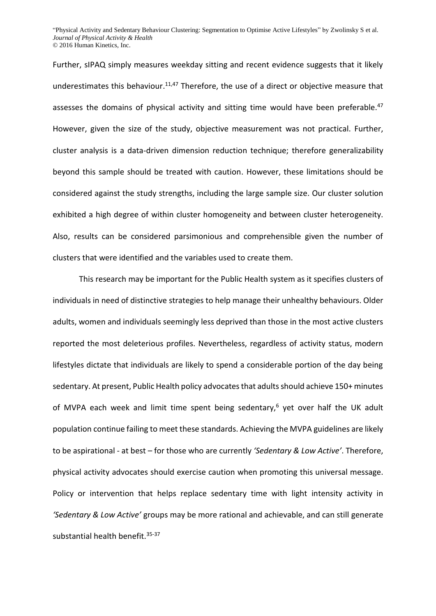Further, sIPAQ simply measures weekday sitting and recent evidence suggests that it likely underestimates this behaviour.<sup>[11,](#page-18-11)[47](#page-20-12)</sup> Therefore, the use of a direct or objective measure that assesses the domains of physical activity and sitting time would have been preferable.<sup>[47](#page-20-12)</sup> However, given the size of the study, objective measurement was not practical. Further, cluster analysis is a data-driven dimension reduction technique; therefore generalizability beyond this sample should be treated with caution. However, these limitations should be considered against the study strengths, including the large sample size. Our cluster solution exhibited a high degree of within cluster homogeneity and between cluster heterogeneity. Also, results can be considered parsimonious and comprehensible given the number of clusters that were identified and the variables used to create them.

This research may be important for the Public Health system as it specifies clusters of individuals in need of distinctive strategies to help manage their unhealthy behaviours. Older adults, women and individuals seemingly less deprived than those in the most active clusters reported the most deleterious profiles. Nevertheless, regardless of activity status, modern lifestyles dictate that individuals are likely to spend a considerable portion of the day being sedentary. At present, Public Health policy advocates that adults should achieve 150+ minutes of MVPA each week and limit time spent being sedentary[,](#page-18-2)<sup>6</sup> yet over half the UK adult population continue failing to meet these standards. Achieving the MVPA guidelines are likely to be aspirational - at best – for those who are currently *'Sedentary & Low Active'*. Therefore, physical activity advocates should exercise caution when promoting this universal message. Policy or intervention that helps replace sedentary time with light intensity activity in *'Sedentary & Low Active'* groups may be more rational and achievable, and can still generate substantial health benefit.<sup>[35-37](#page-20-2)</sup>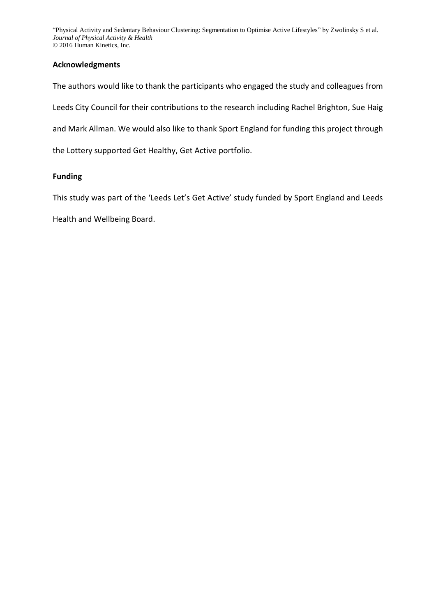# **Acknowledgments**

The authors would like to thank the participants who engaged the study and colleagues from Leeds City Council for their contributions to the research including Rachel Brighton, Sue Haig and Mark Allman. We would also like to thank Sport England for funding this project through the Lottery supported Get Healthy, Get Active portfolio.

# **Funding**

This study was part of the 'Leeds Let's Get Active' study funded by Sport England and Leeds

Health and Wellbeing Board.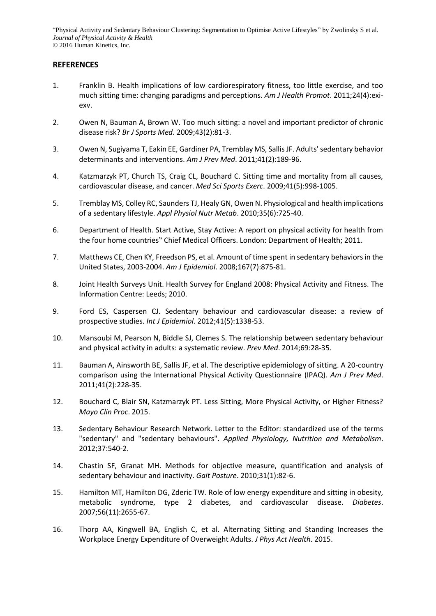# **REFERENCES**

- <span id="page-18-0"></span>1. Franklin B. Health implications of low cardiorespiratory fitness, too little exercise, and too much sitting time: changing paradigms and perceptions. *Am J Health Promot*. 2011;24(4):exiexv.
- <span id="page-18-1"></span>2. Owen N, Bauman A, Brown W. Too much sitting: a novel and important predictor of chronic disease risk? *Br J Sports Med*. 2009;43(2):81-3.
- <span id="page-18-4"></span>3. Owen N, Sugiyama T, Eakin EE, Gardiner PA, Tremblay MS, Sallis JF. Adults' sedentary behavior determinants and interventions. *Am J Prev Med*. 2011;41(2):189-96.
- 4. Katzmarzyk PT, Church TS, Craig CL, Bouchard C. Sitting time and mortality from all causes, cardiovascular disease, and cancer. *Med Sci Sports Exerc*. 2009;41(5):998-1005.
- <span id="page-18-9"></span>5. Tremblay MS, Colley RC, Saunders TJ, Healy GN, Owen N. Physiological and health implications of a sedentary lifestyle. *Appl Physiol Nutr Metab*. 2010;35(6):725-40.
- <span id="page-18-2"></span>6. Department of Health. Start Active, Stay Active: A report on physical activity for health from the four home countries" Chief Medical Officers. London: Department of Health; 2011.
- 7. Matthews CE, Chen KY, Freedson PS, et al. Amount of time spent in sedentary behaviors in the United States, 2003-2004. *Am J Epidemiol*. 2008;167(7):875-81.
- <span id="page-18-12"></span>8. Joint Health Surveys Unit. Health Survey for England 2008: Physical Activity and Fitness. The Information Centre: Leeds; 2010.
- <span id="page-18-3"></span>9. Ford ES, Caspersen CJ. Sedentary behaviour and cardiovascular disease: a review of prospective studies. *Int J Epidemiol*. 2012;41(5):1338-53.
- <span id="page-18-10"></span>10. Mansoubi M, Pearson N, Biddle SJ, Clemes S. The relationship between sedentary behaviour and physical activity in adults: a systematic review. *Prev Med*. 2014;69:28-35.
- <span id="page-18-11"></span>11. Bauman A, Ainsworth BE, Sallis JF, et al. The descriptive epidemiology of sitting. A 20-country comparison using the International Physical Activity Questionnaire (IPAQ). *Am J Prev Med*. 2011;41(2):228-35.
- 12. Bouchard C, Blair SN, Katzmarzyk PT. Less Sitting, More Physical Activity, or Higher Fitness? *Mayo Clin Proc*. 2015.
- <span id="page-18-5"></span>13. Sedentary Behaviour Research Network. Letter to the Editor: standardized use of the terms "sedentary" and "sedentary behaviours". *Applied Physiology, Nutrition and Metabolism*. 2012;37:540-2.
- <span id="page-18-6"></span>14. Chastin SF, Granat MH. Methods for objective measure, quantification and analysis of sedentary behaviour and inactivity. *Gait Posture*. 2010;31(1):82-6.
- <span id="page-18-7"></span>15. Hamilton MT, Hamilton DG, Zderic TW. Role of low energy expenditure and sitting in obesity, metabolic syndrome, type 2 diabetes, and cardiovascular disease. *Diabetes*. 2007;56(11):2655-67.
- <span id="page-18-8"></span>16. Thorp AA, Kingwell BA, English C, et al. Alternating Sitting and Standing Increases the Workplace Energy Expenditure of Overweight Adults. *J Phys Act Health*. 2015.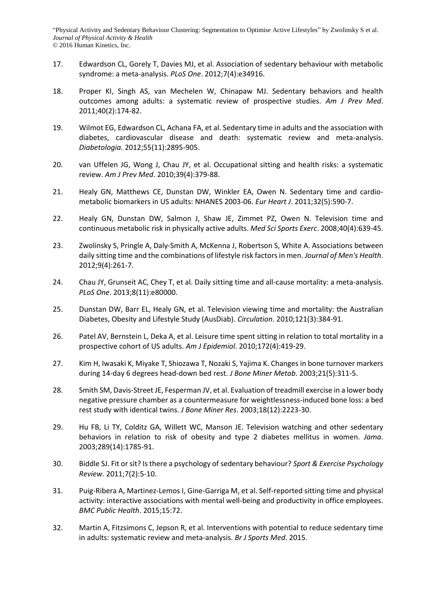- <span id="page-19-0"></span>17. Edwardson CL, Gorely T, Davies MJ, et al. Association of sedentary behaviour with metabolic syndrome: a meta-analysis. *PLoS One*. 2012;7(4):e34916.
- <span id="page-19-1"></span>18. Proper KI, Singh AS, van Mechelen W, Chinapaw MJ. Sedentary behaviors and health outcomes among adults: a systematic review of prospective studies. *Am J Prev Med*. 2011;40(2):174-82.
- 19. Wilmot EG, Edwardson CL, Achana FA, et al. Sedentary time in adults and the association with diabetes, cardiovascular disease and death: systematic review and meta-analysis. *Diabetologia*. 2012;55(11):2895-905.
- 20. van Uffelen JG, Wong J, Chau JY, et al. Occupational sitting and health risks: a systematic review. *Am J Prev Med*. 2010;39(4):379-88.
- <span id="page-19-2"></span>21. Healy GN, Matthews CE, Dunstan DW, Winkler EA, Owen N. Sedentary time and cardiometabolic biomarkers in US adults: NHANES 2003-06. *Eur Heart J*. 2011;32(5):590-7.
- <span id="page-19-3"></span>22. Healy GN, Dunstan DW, Salmon J, Shaw JE, Zimmet PZ, Owen N. Television time and continuous metabolic risk in physically active adults. *Med Sci Sports Exerc*. 2008;40(4):639-45.
- <span id="page-19-4"></span>23. Zwolinsky S, Pringle A, Daly-Smith A, McKenna J, Robertson S, White A. Associations between daily sitting time and the combinations of lifestyle risk factors in men. *Journal of Men's Health*. 2012;9(4):261-7.
- <span id="page-19-5"></span>24. Chau JY, Grunseit AC, Chey T, et al. Daily sitting time and all-cause mortality: a meta-analysis. *PLoS One*. 2013;8(11):e80000.
- 25. Dunstan DW, Barr EL, Healy GN, et al. Television viewing time and mortality: the Australian Diabetes, Obesity and Lifestyle Study (AusDiab). *Circulation*. 2010;121(3):384-91.
- <span id="page-19-8"></span>26. Patel AV, Bernstein L, Deka A, et al. Leisure time spent sitting in relation to total mortality in a prospective cohort of US adults. *Am J Epidemiol*. 2010;172(4):419-29.
- <span id="page-19-6"></span>27. Kim H, Iwasaki K, Miyake T, Shiozawa T, Nozaki S, Yajima K. Changes in bone turnover markers during 14-day 6 degrees head-down bed rest. *J Bone Miner Metab*. 2003;21(5):311-5.
- <span id="page-19-7"></span>28. Smith SM, Davis-Street JE, Fesperman JV, et al. Evaluation of treadmill exercise in a lower body negative pressure chamber as a countermeasure for weightlessness-induced bone loss: a bed rest study with identical twins. *J Bone Miner Res*. 2003;18(12):2223-30.
- <span id="page-19-9"></span>29. Hu FB, Li TY, Colditz GA, Willett WC, Manson JE. Television watching and other sedentary behaviors in relation to risk of obesity and type 2 diabetes mellitus in women. *Jama*. 2003;289(14):1785-91.
- <span id="page-19-10"></span>30. Biddle SJ. Fit or sit? Is there a psychology of sedentary behaviour? *Sport & Exercise Psychology Review*. 2011;7(2):5-10.
- <span id="page-19-11"></span>31. Puig-Ribera A, Martinez-Lemos I, Gine-Garriga M, et al. Self-reported sitting time and physical activity: interactive associations with mental well-being and productivity in office employees. *BMC Public Health*. 2015;15:72.
- <span id="page-19-12"></span>32. Martin A, Fitzsimons C, Jepson R, et al. Interventions with potential to reduce sedentary time in adults: systematic review and meta-analysis. *Br J Sports Med*. 2015.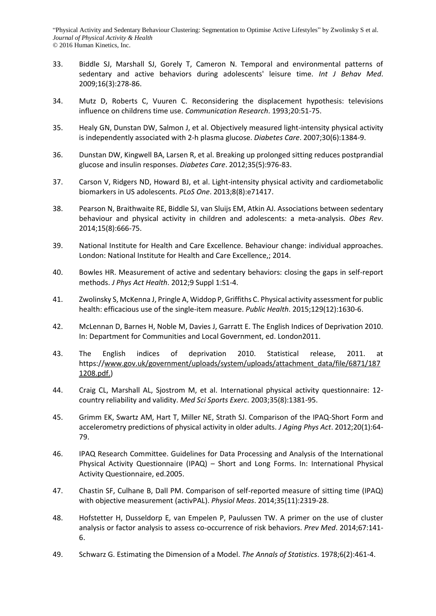- <span id="page-20-0"></span>33. Biddle SJ, Marshall SJ, Gorely T, Cameron N. Temporal and environmental patterns of sedentary and active behaviors during adolescents' leisure time. *Int J Behav Med*. 2009;16(3):278-86.
- <span id="page-20-1"></span>34. Mutz D, Roberts C, Vuuren C. Reconsidering the displacement hypothesis: televisions influence on childrens time use. *Communication Research*. 1993;20:51-75.
- <span id="page-20-2"></span>35. Healy GN, Dunstan DW, Salmon J, et al. Objectively measured light-intensity physical activity is independently associated with 2-h plasma glucose. *Diabetes Care*. 2007;30(6):1384-9.
- <span id="page-20-15"></span>36. Dunstan DW, Kingwell BA, Larsen R, et al. Breaking up prolonged sitting reduces postprandial glucose and insulin responses. *Diabetes Care*. 2012;35(5):976-83.
- 37. Carson V, Ridgers ND, Howard BJ, et al. Light-intensity physical activity and cardiometabolic biomarkers in US adolescents. *PLoS One*. 2013;8(8):e71417.
- <span id="page-20-3"></span>38. Pearson N, Braithwaite RE, Biddle SJ, van Sluijs EM, Atkin AJ. Associations between sedentary behaviour and physical activity in children and adolescents: a meta-analysis. *Obes Rev*. 2014;15(8):666-75.
- <span id="page-20-4"></span>39. National Institute for Health and Care Excellence. Behaviour change: individual approaches. London: National Institute for Health and Care Excellence,; 2014.
- <span id="page-20-5"></span>40. Bowles HR. Measurement of active and sedentary behaviors: closing the gaps in self-report methods. *J Phys Act Health*. 2012;9 Suppl 1:S1-4.
- <span id="page-20-6"></span>41. Zwolinsky S, McKenna J, Pringle A, Widdop P, Griffiths C. Physical activity assessment for public health: efficacious use of the single-item measure. *Public Health*. 2015;129(12):1630-6.
- <span id="page-20-7"></span>42. McLennan D, Barnes H, Noble M, Davies J, Garratt E. The English Indices of Deprivation 2010. In: Department for Communities and Local Government, ed. London2011.
- <span id="page-20-8"></span>43. The English indices of deprivation 2010. Statistical release, 2011. at https:/[/www.gov.uk/government/uploads/system/uploads/attachment\\_data/file/6871/187](http://www.gov.uk/government/uploads/system/uploads/attachment_data/file/6871/1871208.pdf.) [1208.pdf.\)](http://www.gov.uk/government/uploads/system/uploads/attachment_data/file/6871/1871208.pdf.)
- <span id="page-20-9"></span>44. Craig CL, Marshall AL, Sjostrom M, et al. International physical activity questionnaire: 12 country reliability and validity. *Med Sci Sports Exerc*. 2003;35(8):1381-95.
- <span id="page-20-10"></span>45. Grimm EK, Swartz AM, Hart T, Miller NE, Strath SJ. Comparison of the IPAQ-Short Form and accelerometry predictions of physical activity in older adults. *J Aging Phys Act*. 2012;20(1):64- 79.
- <span id="page-20-11"></span>46. IPAQ Research Committee. Guidelines for Data Processing and Analysis of the International Physical Activity Questionnaire (IPAQ) – Short and Long Forms. In: International Physical Activity Questionnaire, ed.2005.
- <span id="page-20-12"></span>47. Chastin SF, Culhane B, Dall PM. Comparison of self-reported measure of sitting time (IPAQ) with objective measurement (activPAL). *Physiol Meas*. 2014;35(11):2319-28.
- <span id="page-20-13"></span>48. Hofstetter H, Dusseldorp E, van Empelen P, Paulussen TW. A primer on the use of cluster analysis or factor analysis to assess co-occurrence of risk behaviors. *Prev Med*. 2014;67:141- 6.
- <span id="page-20-14"></span>49. Schwarz G. Estimating the Dimension of a Model. *The Annals of Statistics*. 1978;6(2):461-4.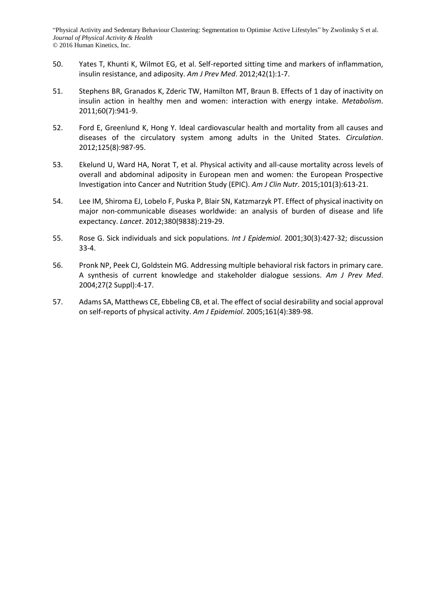- <span id="page-21-0"></span>50. Yates T, Khunti K, Wilmot EG, et al. Self-reported sitting time and markers of inflammation, insulin resistance, and adiposity. *Am J Prev Med*. 2012;42(1):1-7.
- <span id="page-21-1"></span>51. Stephens BR, Granados K, Zderic TW, Hamilton MT, Braun B. Effects of 1 day of inactivity on insulin action in healthy men and women: interaction with energy intake. *Metabolism*. 2011;60(7):941-9.
- <span id="page-21-2"></span>52. Ford E, Greenlund K, Hong Y. Ideal cardiovascular health and mortality from all causes and diseases of the circulatory system among adults in the United States. *Circulation*. 2012;125(8):987-95.
- <span id="page-21-3"></span>53. Ekelund U, Ward HA, Norat T, et al. Physical activity and all-cause mortality across levels of overall and abdominal adiposity in European men and women: the European Prospective Investigation into Cancer and Nutrition Study (EPIC). *Am J Clin Nutr*. 2015;101(3):613-21.
- <span id="page-21-4"></span>54. Lee IM, Shiroma EJ, Lobelo F, Puska P, Blair SN, Katzmarzyk PT. Effect of physical inactivity on major non-communicable diseases worldwide: an analysis of burden of disease and life expectancy. *Lancet*. 2012;380(9838):219-29.
- <span id="page-21-5"></span>55. Rose G. Sick individuals and sick populations. *Int J Epidemiol*. 2001;30(3):427-32; discussion 33-4.
- <span id="page-21-6"></span>56. Pronk NP, Peek CJ, Goldstein MG. Addressing multiple behavioral risk factors in primary care. A synthesis of current knowledge and stakeholder dialogue sessions. *Am J Prev Med*. 2004;27(2 Suppl):4-17.
- <span id="page-21-7"></span>57. Adams SA, Matthews CE, Ebbeling CB, et al. The effect of social desirability and social approval on self-reports of physical activity. *Am J Epidemiol*. 2005;161(4):389-98.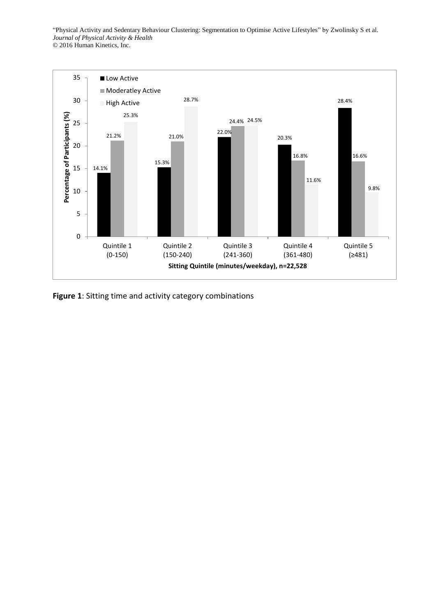

**Figure 1**: Sitting time and activity category combinations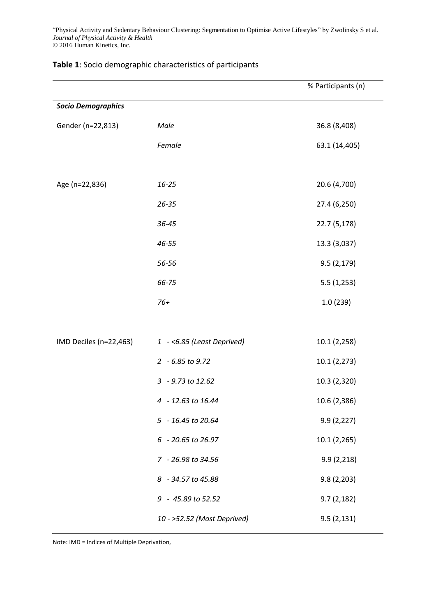|                           |                             | % Participants (n) |  |  |  |  |
|---------------------------|-----------------------------|--------------------|--|--|--|--|
| <b>Socio Demographics</b> |                             |                    |  |  |  |  |
| Gender (n=22,813)         | Male                        | 36.8 (8,408)       |  |  |  |  |
|                           | Female                      | 63.1 (14,405)      |  |  |  |  |
|                           |                             |                    |  |  |  |  |
| Age (n=22,836)            | 16-25                       | 20.6 (4,700)       |  |  |  |  |
|                           | $26 - 35$                   | 27.4 (6,250)       |  |  |  |  |
|                           | 36-45                       | 22.7 (5,178)       |  |  |  |  |
|                           | 46-55                       | 13.3 (3,037)       |  |  |  |  |
|                           | 56-56                       | 9.5(2,179)         |  |  |  |  |
|                           | 66-75                       | 5.5(1,253)         |  |  |  |  |
|                           | $76+$                       | 1.0(239)           |  |  |  |  |
|                           |                             |                    |  |  |  |  |
| IMD Deciles (n=22,463)    | 1 -< 6.85 (Least Deprived)  | 10.1 (2,258)       |  |  |  |  |
|                           | 2 - 6.85 to 9.72            | 10.1 (2,273)       |  |  |  |  |
|                           | 3 - 9.73 to 12.62           | 10.3 (2,320)       |  |  |  |  |
|                           | 4 - 12.63 to 16.44          | 10.6 (2,386)       |  |  |  |  |
|                           | 5 - 16.45 to 20.64          | 9.9(2,227)         |  |  |  |  |
|                           | 6 - 20.65 to 26.97          | 10.1 (2,265)       |  |  |  |  |
|                           | 7 - 26.98 to 34.56          | 9.9(2,218)         |  |  |  |  |
|                           | 8 - 34.57 to 45.88          | 9.8(2,203)         |  |  |  |  |
|                           | 9 - 45.89 to 52.52          | 9.7(2,182)         |  |  |  |  |
|                           | 10 - >52.52 (Most Deprived) | 9.5(2,131)         |  |  |  |  |

# **Table 1**: Socio demographic characteristics of participants

Note: IMD = Indices of Multiple Deprivation,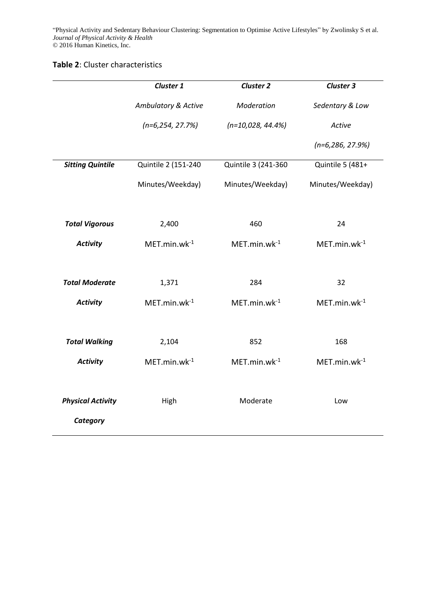## **Table 2**: Cluster characteristics

|                          | Cluster 1           | <b>Cluster 2</b>     | <b>Cluster 3</b>    |
|--------------------------|---------------------|----------------------|---------------------|
|                          | Ambulatory & Active | Moderation           | Sedentary & Low     |
|                          | $(n=6, 254, 27.7%)$ | $(n=10,028, 44.4\%)$ | Active              |
|                          |                     |                      | $(n=6, 286, 27.9%)$ |
| <b>Sitting Quintile</b>  | Quintile 2 (151-240 | Quintile 3 (241-360  | Quintile 5 (481+    |
|                          | Minutes/Weekday)    | Minutes/Weekday)     | Minutes/Weekday)    |
| <b>Total Vigorous</b>    | 2,400               | 460                  | 24                  |
| <b>Activity</b>          | $MET.min.wk-1$      | $MET.min.wk-1$       | $MET.min.wk-1$      |
|                          |                     |                      |                     |
| <b>Total Moderate</b>    | 1,371               | 284                  | 32                  |
| <b>Activity</b>          | $MET.min.wk-1$      | $MET.min.wk-1$       | $MET.min.wk-1$      |
|                          |                     |                      |                     |
| <b>Total Walking</b>     | 2,104               | 852                  | 168                 |
| <b>Activity</b>          | $MET.min.wk-1$      | $MET.min.wk-1$       | $MET.min.wk-1$      |
|                          |                     |                      |                     |
| <b>Physical Activity</b> | High                | Moderate             | Low                 |
| Category                 |                     |                      |                     |